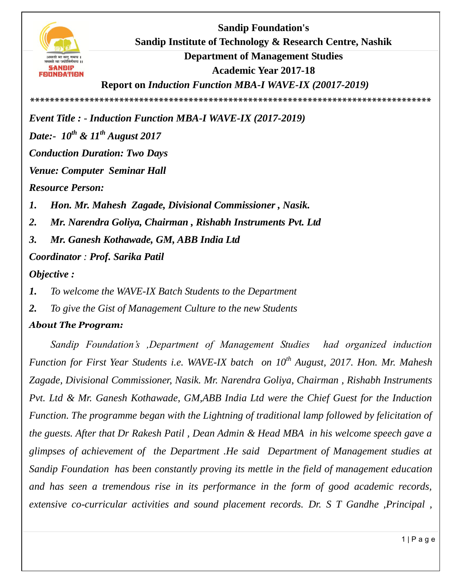

| 1 **Sandip Institute of Technology & Research Centre, Nashik Sandip Foundation's Department of Management Studies Academic Year 2017-18 Report on** *Induction Function MBA-I WAVE-IX (20017-2019)*

**\*\*\*\*\*\*\*\*\*\*\*\*\*\*\*\*\*\*\*\*\*\*\*\*\*\*\*\*\*\*\*\*\*\*\*\*\*\*\*\*\*\*\*\*\*\*\*\*\*\*\*\*\*\*\*\*\*\*\*\*\*\*\*\*\*\*\*\*\*\*\*\*\*\*\*\*\*\*\*\*\***

*Event Title : - Induction Function MBA-I WAVE-IX (2017-2019)*

*Date:- 10th & 11th August 2017*

*Conduction Duration: Two Days* 

*Venue: Computer Seminar Hall* 

*Resource Person:* 

*1. Hon. Mr. Mahesh Zagade, Divisional Commissioner , Nasik.* 

*2. Mr. Narendra Goliya, Chairman , Rishabh Instruments Pvt. Ltd* 

*3. Mr. Ganesh Kothawade, GM, ABB India Ltd*

*Coordinator : Prof. Sarika Patil*

## *Objective :*

*1. To welcome the WAVE-IX Batch Students to the Department* 

*2. To give the Gist of Management Culture to the new Students* 

## *About The Program:*

*Sandip Foundation's ,Department of Management Studies had organized induction Function for First Year Students i.e. WAVE-IX batch on 10th August, 2017. Hon. Mr. Mahesh Zagade, Divisional Commissioner, Nasik. Mr. Narendra Goliya, Chairman , Rishabh Instruments Pvt. Ltd & Mr. Ganesh Kothawade, GM,ABB India Ltd were the Chief Guest for the Induction Function. The programme began with the Lightning of traditional lamp followed by felicitation of the guests. After that Dr Rakesh Patil , Dean Admin & Head MBA in his welcome speech gave a glimpses of achievement of the Department .He said Department of Management studies at Sandip Foundation has been constantly proving its mettle in the field of management education and has seen a tremendous rise in its performance in the form of good academic records, extensive co-curricular activities and sound placement records. Dr. S T Gandhe ,Principal ,*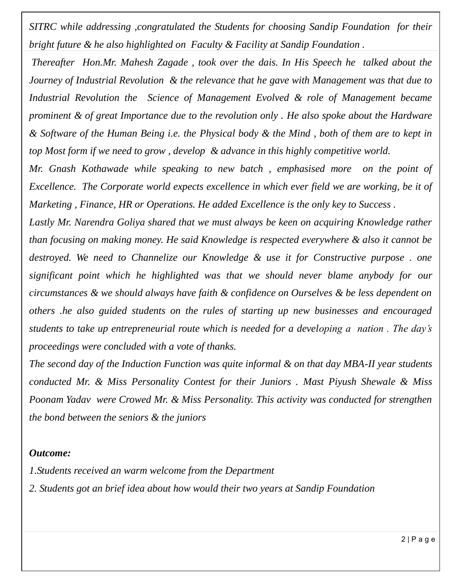| 2 *bright future & he also highlighted on Faculty & Facility at Sandip Foundation . SITRC while addressing ,congratulated the Students for choosing Sandip Foundation for their* 

*Thereafter Hon.Mr. Mahesh Zagade , took over the dais. In His Speech he talked about the Journey of Industrial Revolution & the relevance that he gave with Management was that due to Industrial Revolution the Science of Management Evolved & role of Management became prominent & of great Importance due to the revolution only . He also spoke about the Hardware & Software of the Human Being i.e. the Physical body & the Mind , both of them are to kept in top Most form if we need to grow , develop & advance in this highly competitive world.* 

*Mr. Gnash Kothawade while speaking to new batch , emphasised more on the point of Excellence. The Corporate world expects excellence in which ever field we are working, be it of Marketing , Finance, HR or Operations. He added Excellence is the only key to Success .*

*Lastly Mr. Narendra Goliya shared that we must always be keen on acquiring Knowledge rather than focusing on making money. He said Knowledge is respected everywhere & also it cannot be destroyed. We need to Channelize our Knowledge & use it for Constructive purpose . one significant point which he highlighted was that we should never blame anybody for our circumstances & we should always have faith & confidence on Ourselves & be less dependent on others .he also guided students on the rules of starting up new businesses and encouraged students to take up entrepreneurial route which is needed for a developing a nation . The day's proceedings were concluded with a vote of thanks.*

*The second day of the Induction Function was quite informal & on that day MBA-II year students conducted Mr. & Miss Personality Contest for their Juniors . Mast Piyush Shewale & Miss Poonam Yadav were Crowed Mr. & Miss Personality. This activity was conducted for strengthen the bond between the seniors & the juniors* 

## *Outcome:*

*1.Students received an warm welcome from the Department 2. Students got an brief idea about how would their two years at Sandip Foundation*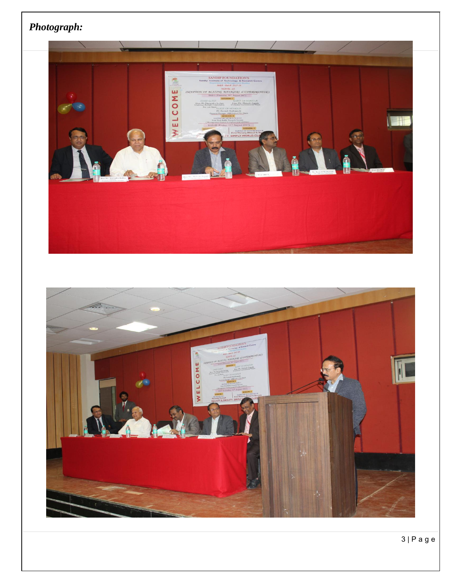## Photograph:



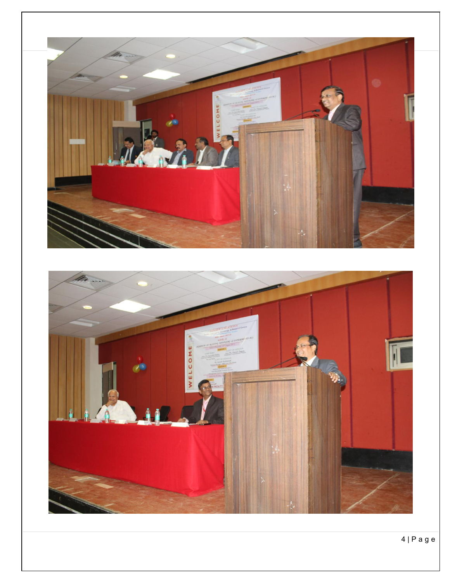